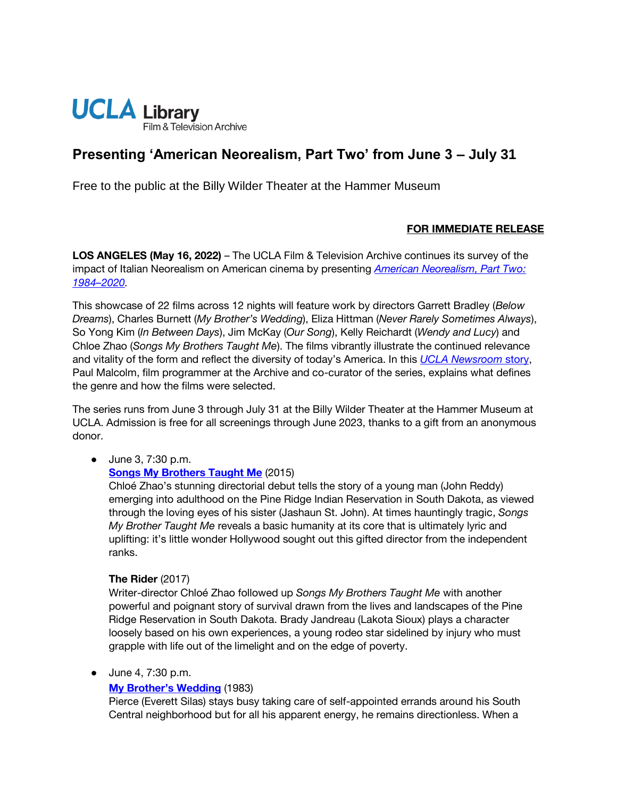

# **Presenting 'American Neorealism, Part Two' from June 3 – July 31**

Free to the public at the Billy Wilder Theater at the Hammer Museum

## **FOR IMMEDIATE RELEASE**

**LOS ANGELES (May 16, 2022)** – The UCLA Film & Television Archive continues its survey of the impact of Italian Neorealism on American cinema by presenting *[American Neorealism, Part Two:](https://www.cinema.ucla.edu/events/2022/american-neorealism-part-two-1984-2020)  1984–[2020.](https://www.cinema.ucla.edu/events/2022/american-neorealism-part-two-1984-2020)* 

This showcase of 22 films across 12 nights will feature work by directors Garrett Bradley (*Below Dreams*), Charles Burnett (*My Brother's Wedding*), Eliza Hittman (*Never Rarely Sometimes Always*), So Yong Kim (*In Between Days*), Jim McKay (*Our Song*), Kelly Reichardt (*Wendy and Lucy*) and Chloe Zhao (*Songs My Brothers Taught Me*). The films vibrantly illustrate the continued relevance and vitality of the form and reflect the diversity of today's America. In this *[UCLA Newsroom](https://newsroom.ucla.edu/releases/film-retrospective-american-neorealism-part-two)* [story,](https://newsroom.ucla.edu/releases/film-retrospective-american-neorealism-part-two) Paul Malcolm, film programmer at the Archive and co-curator of the series, explains what defines the genre and how the films were selected.

The series runs from June 3 through July 31 at the Billy Wilder Theater at the Hammer Museum at UCLA. Admission is free for all screenings through June 2023, thanks to a gift from an anonymous donor.

● June 3, 7:30 p.m.

#### **[Songs My Brothers Taught Me](https://www.cinema.ucla.edu/events/2022/06/03/songs-my-brothers-taught-me)** (2015)

Chloé Zhao's stunning directorial debut tells the story of a young man (John Reddy) emerging into adulthood on the Pine Ridge Indian Reservation in South Dakota, as viewed through the loving eyes of his sister (Jashaun St. John). At times hauntingly tragic, *Songs My Brother Taught Me* reveals a basic humanity at its core that is ultimately lyric and uplifting: it's little wonder Hollywood sought out this gifted director from the independent ranks.

#### **The Rider** (2017)

Writer-director Chloé Zhao followed up *Songs My Brothers Taught Me* with another powerful and poignant story of survival drawn from the lives and landscapes of the Pine Ridge Reservation in South Dakota. Brady Jandreau (Lakota Sioux) plays a character loosely based on his own experiences, a young rodeo star sidelined by injury who must grapple with life out of the limelight and on the edge of poverty.

#### ● June 4, 7:30 p.m.

# **[My Brother's Wedding](https://www.cinema.ucla.edu/events/2022/06/04/my-brothers-wedding-residue)** (1983)

Pierce (Everett Silas) stays busy taking care of self-appointed errands around his South Central neighborhood but for all his apparent energy, he remains directionless. When a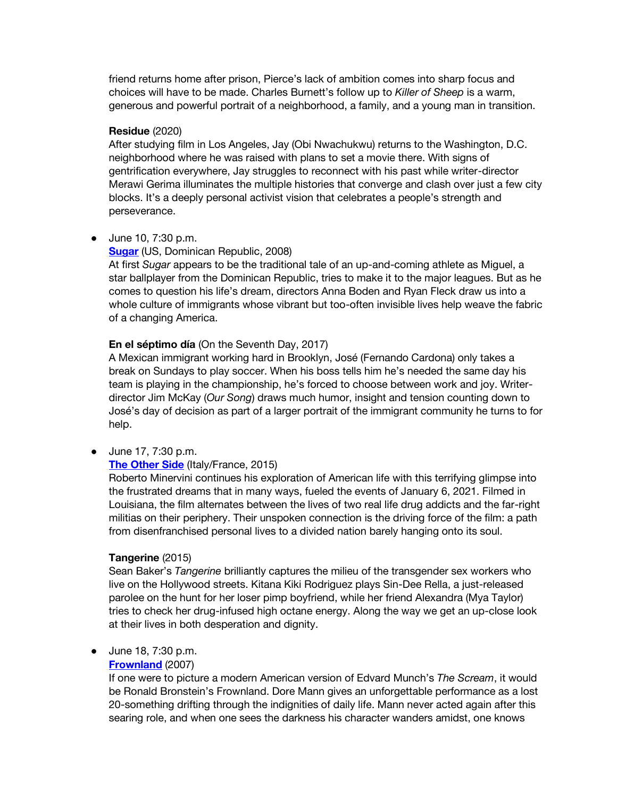friend returns home after prison, Pierce's lack of ambition comes into sharp focus and choices will have to be made. Charles Burnett's follow up to *Killer of Sheep* is a warm, generous and powerful portrait of a neighborhood, a family, and a young man in transition.

#### **Residue** (2020)

After studying film in Los Angeles, Jay (Obi Nwachukwu) returns to the Washington, D.C. neighborhood where he was raised with plans to set a movie there. With signs of gentrification everywhere, Jay struggles to reconnect with his past while writer-director Merawi Gerima illuminates the multiple histories that converge and clash over just a few city blocks. It's a deeply personal activist vision that celebrates a people's strength and perseverance.

#### ● June 10, 7:30 p.m.

#### **[Sugar](https://www.cinema.ucla.edu/events/2022/06/10/sugar-en-el-septimo-dia)** (US, Dominican Republic, 2008)

At first *Sugar* appears to be the traditional tale of an up-and-coming athlete as Miguel, a star ballplayer from the Dominican Republic, tries to make it to the major leagues. But as he comes to question his life's dream, directors Anna Boden and Ryan Fleck draw us into a whole culture of immigrants whose vibrant but too-often invisible lives help weave the fabric of a changing America.

#### **En el séptimo día** (On the Seventh Day, 2017)

A Mexican immigrant working hard in Brooklyn, José (Fernando Cardona) only takes a break on Sundays to play soccer. When his boss tells him he's needed the same day his team is playing in the championship, he's forced to choose between work and joy. Writerdirector Jim McKay (*Our Song*) draws much humor, insight and tension counting down to José's day of decision as part of a larger portrait of the immigrant community he turns to for help.

● June 17, 7:30 p.m.

## **[The Other Side](https://www.cinema.ucla.edu/events/2022/06/17/tangerine-other-side)** (Italy/France, 2015)

Roberto Minervini continues his exploration of American life with this terrifying glimpse into the frustrated dreams that in many ways, fueled the events of January 6, 2021. Filmed in Louisiana, the film alternates between the lives of two real life drug addicts and the far-right militias on their periphery. Their unspoken connection is the driving force of the film: a path from disenfranchised personal lives to a divided nation barely hanging onto its soul.

#### **Tangerine** (2015)

Sean Baker's *Tangerine* brilliantly captures the milieu of the transgender sex workers who live on the Hollywood streets. Kitana Kiki Rodriguez plays Sin-Dee Rella, a just-released parolee on the hunt for her loser pimp boyfriend, while her friend Alexandra (Mya Taylor) tries to check her drug-infused high octane energy. Along the way we get an up-close look at their lives in both desperation and dignity.

#### ● June 18, 7:30 p.m.

#### **[Frownland](https://www.cinema.ucla.edu/events/2022/06/18/wendy-lucy-frownland)** (2007)

If one were to picture a modern American version of Edvard Munch's *The Scream*, it would be Ronald Bronstein's Frownland. Dore Mann gives an unforgettable performance as a lost 20-something drifting through the indignities of daily life. Mann never acted again after this searing role, and when one sees the darkness his character wanders amidst, one knows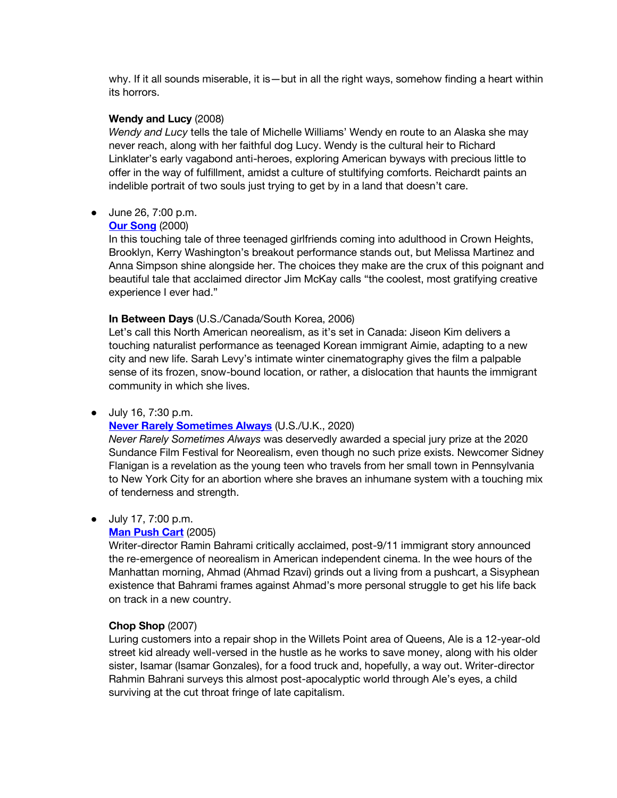why. If it all sounds miserable, it is—but in all the right ways, somehow finding a heart within its horrors.

#### **Wendy and Lucy** (2008)

*Wendy and Lucy* tells the tale of Michelle Williams' Wendy en route to an Alaska she may never reach, along with her faithful dog Lucy. Wendy is the cultural heir to Richard Linklater's early vagabond anti-heroes, exploring American byways with precious little to offer in the way of fulfillment, amidst a culture of stultifying comforts. Reichardt paints an indelible portrait of two souls just trying to get by in a land that doesn't care.

● June 26, 7:00 p.m.

#### **[Our Song](https://www.cinema.ucla.edu/events/2022/06/26/our-song-in-between-days)** (2000)

In this touching tale of three teenaged girlfriends coming into adulthood in Crown Heights, Brooklyn, Kerry Washington's breakout performance stands out, but Melissa Martinez and Anna Simpson shine alongside her. The choices they make are the crux of this poignant and beautiful tale that acclaimed director Jim McKay calls "the coolest, most gratifying creative experience I ever had."

## **In Between Days** (U.S./Canada/South Korea, 2006)

Let's call this North American neorealism, as it's set in Canada: Jiseon Kim delivers a touching naturalist performance as teenaged Korean immigrant Aimie, adapting to a new city and new life. Sarah Levy's intimate winter cinematography gives the film a palpable sense of its frozen, snow-bound location, or rather, a dislocation that haunts the immigrant community in which she lives.

#### ● July 16, 7:30 p.m.

#### **[Never Rarely Sometimes Always](https://www.cinema.ucla.edu/events/2022/07/16/never-rarely-sometimes-never)** (U.S./U.K., 2020)

*Never Rarely Sometimes Always* was deservedly awarded a special jury prize at the 2020 Sundance Film Festival for Neorealism, even though no such prize exists. Newcomer Sidney Flanigan is a revelation as the young teen who travels from her small town in Pennsylvania to New York City for an abortion where she braves an inhumane system with a touching mix of tenderness and strength.

#### ● July 17, 7:00 p.m.

#### **[Man Push Cart](https://www.cinema.ucla.edu/events/2022/06/17/man-push-cart)** (2005)

Writer-director Ramin Bahrami critically acclaimed, post-9/11 immigrant story announced the re-emergence of neorealism in American independent cinema. In the wee hours of the Manhattan morning, Ahmad (Ahmad Rzavi) grinds out a living from a pushcart, a Sisyphean existence that Bahrami frames against Ahmad's more personal struggle to get his life back on track in a new country.

#### **Chop Shop** (2007)

Luring customers into a repair shop in the Willets Point area of Queens, Ale is a 12-year-old street kid already well-versed in the hustle as he works to save money, along with his older sister, Isamar (Isamar Gonzales), for a food truck and, hopefully, a way out. Writer-director Rahmin Bahrani surveys this almost post-apocalyptic world through Ale's eyes, a child surviving at the cut throat fringe of late capitalism.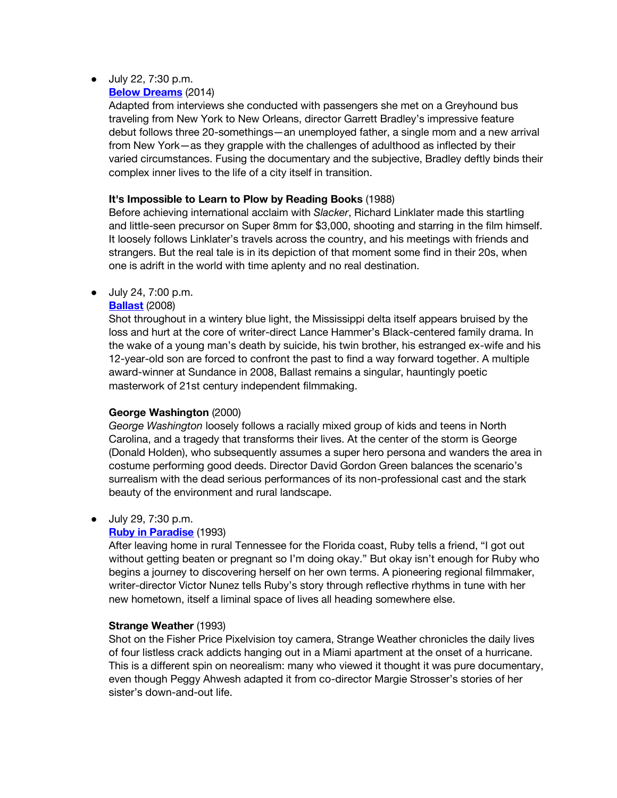## ● July 22, 7:30 p.m.

## **[Below Dreams](https://www.cinema.ucla.edu/events/2022/07/22/impossible-to-learn-to-plow-below-dreams)** (2014)

Adapted from interviews she conducted with passengers she met on a Greyhound bus traveling from New York to New Orleans, director Garrett Bradley's impressive feature debut follows three 20-somethings—an unemployed father, a single mom and a new arrival from New York—as they grapple with the challenges of adulthood as inflected by their varied circumstances. Fusing the documentary and the subjective, Bradley deftly binds their complex inner lives to the life of a city itself in transition.

## **It's Impossible to Learn to Plow by Reading Books** (1988)

Before achieving international acclaim with *Slacker*, Richard Linklater made this startling and little-seen precursor on Super 8mm for \$3,000, shooting and starring in the film himself. It loosely follows Linklater's travels across the country, and his meetings with friends and strangers. But the real tale is in its depiction of that moment some find in their 20s, when one is adrift in the world with time aplenty and no real destination.

● July 24, 7:00 p.m.

## **[Ballast](https://www.cinema.ucla.edu/events/2022/07/24/ballast-george-washington)** (2008)

Shot throughout in a wintery blue light, the Mississippi delta itself appears bruised by the loss and hurt at the core of writer-direct Lance Hammer's Black-centered family drama. In the wake of a young man's death by suicide, his twin brother, his estranged ex-wife and his 12-year-old son are forced to confront the past to find a way forward together. A multiple award-winner at Sundance in 2008, Ballast remains a singular, hauntingly poetic masterwork of 21st century independent filmmaking.

# **George Washington** (2000)

*George Washington* loosely follows a racially mixed group of kids and teens in North Carolina, and a tragedy that transforms their lives. At the center of the storm is George (Donald Holden), who subsequently assumes a super hero persona and wanders the area in costume performing good deeds. Director David Gordon Green balances the scenario's surrealism with the dead serious performances of its non-professional cast and the stark beauty of the environment and rural landscape.

#### ● July 29, 7:30 p.m.

# **[Ruby in Paradise](https://www.cinema.ucla.edu/events/2022/07/29/ruby-paradise-strange-weather)** (1993)

After leaving home in rural Tennessee for the Florida coast, Ruby tells a friend, "I got out without getting beaten or pregnant so I'm doing okay." But okay isn't enough for Ruby who begins a journey to discovering herself on her own terms. A pioneering regional filmmaker, writer-director Victor Nunez tells Ruby's story through reflective rhythms in tune with her new hometown, itself a liminal space of lives all heading somewhere else.

#### **Strange Weather** (1993)

Shot on the Fisher Price Pixelvision toy camera, Strange Weather chronicles the daily lives of four listless crack addicts hanging out in a Miami apartment at the onset of a hurricane. This is a different spin on neorealism: many who viewed it thought it was pure documentary, even though Peggy Ahwesh adapted it from co-director Margie Strosser's stories of her sister's down-and-out life.